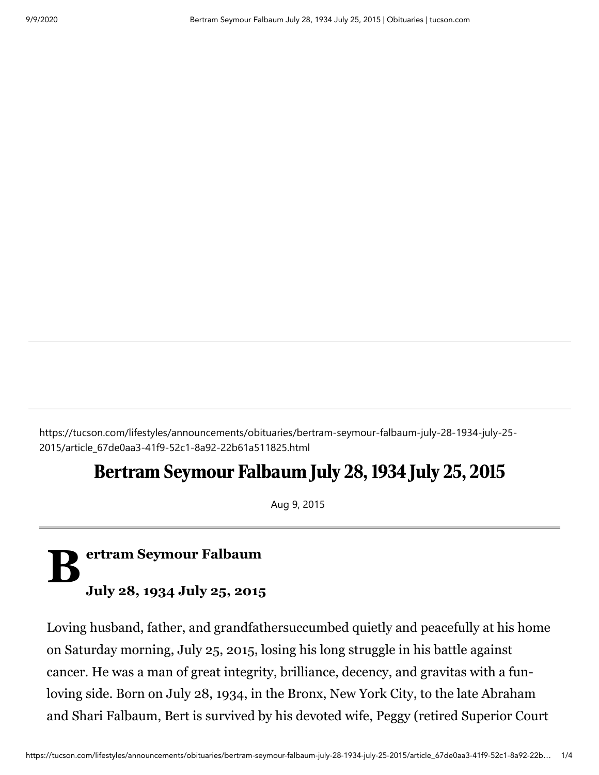https://tucson.com/lifestyles/announcements/obituaries/bertram-seymour-falbaum-july-28-1934-july-25- 2015/article\_67de0aa3-41f9-52c1-8a92-22b61a511825.html

## Bertram Seymour Falbaum July 28, 1934 July 25, 2015

Aug 9, 2015

## $\mathbf{B}^*$ **ertram Seymour Falbaum July 28, 1934 July 25, 2015**

Loving husband, father, and grandfathersuccumbed quietly and peacefully at his home on Saturday morning, July 25, 2015, losing his long struggle in his battle against cancer. He was a man of great integrity, brilliance, decency, and gravitas with a funloving side. Born on July 28, 1934, in the Bronx, New York City, to the late Abraham and Shari Falbaum, Bert is survived by his devoted wife, Peggy (retired Superior Court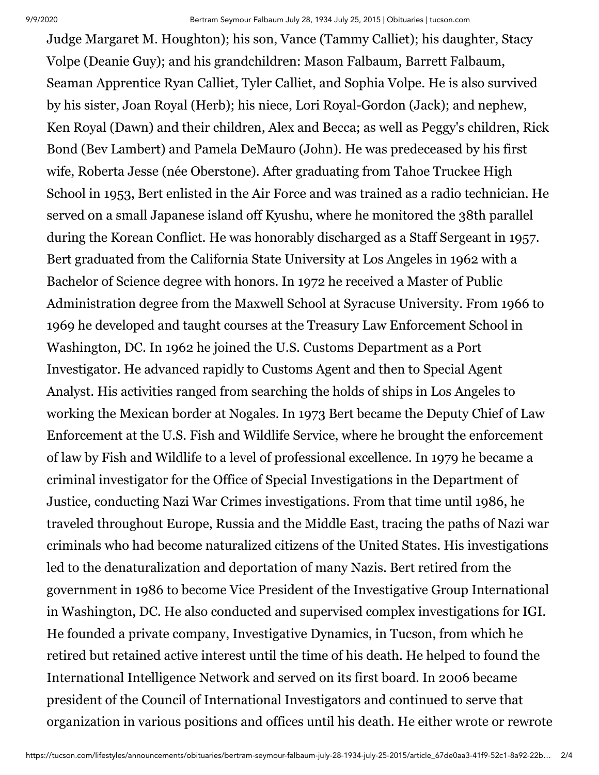Judge Margaret M. Houghton); his son, Vance (Tammy Calliet); his daughter, Stacy Volpe (Deanie Guy); and his grandchildren: Mason Falbaum, Barrett Falbaum, Seaman Apprentice Ryan Calliet, Tyler Calliet, and Sophia Volpe. He is also survived by his sister, Joan Royal (Herb); his niece, Lori Royal-Gordon (Jack); and nephew, Ken Royal (Dawn) and their children, Alex and Becca; as well as Peggy's children, Rick Bond (Bev Lambert) and Pamela DeMauro (John). He was predeceased by his first wife, Roberta Jesse (née Oberstone). After graduating from Tahoe Truckee High School in 1953, Bert enlisted in the Air Force and was trained as a radio technician. He served on a small Japanese island off Kyushu, where he monitored the 38th parallel during the Korean Conflict. He was honorably discharged as a Staff Sergeant in 1957. Bert graduated from the California State University at Los Angeles in 1962 with a Bachelor of Science degree with honors. In 1972 he received a Master of Public Administration degree from the Maxwell School at Syracuse University. From 1966 to 1969 he developed and taught courses at the Treasury Law Enforcement School in Washington, DC. In 1962 he joined the U.S. Customs Department as a Port Investigator. He advanced rapidly to Customs Agent and then to Special Agent Analyst. His activities ranged from searching the holds of ships in Los Angeles to working the Mexican border at Nogales. In 1973 Bert became the Deputy Chief of Law Enforcement at the U.S. Fish and Wildlife Service, where he brought the enforcement of law by Fish and Wildlife to a level of professional excellence. In 1979 he became a criminal investigator for the Office of Special Investigations in the Department of Justice, conducting Nazi War Crimes investigations. From that time until 1986, he traveled throughout Europe, Russia and the Middle East, tracing the paths of Nazi war criminals who had become naturalized citizens of the United States. His investigations led to the denaturalization and deportation of many Nazis. Bert retired from the government in 1986 to become Vice President of the Investigative Group International in Washington, DC. He also conducted and supervised complex investigations for IGI. He founded a private company, Investigative Dynamics, in Tucson, from which he retired but retained active interest until the time of his death. He helped to found the International Intelligence Network and served on its first board. In 2006 became president of the Council of International Investigators and continued to serve that organization in various positions and offices until his death. He either wrote or rewrote